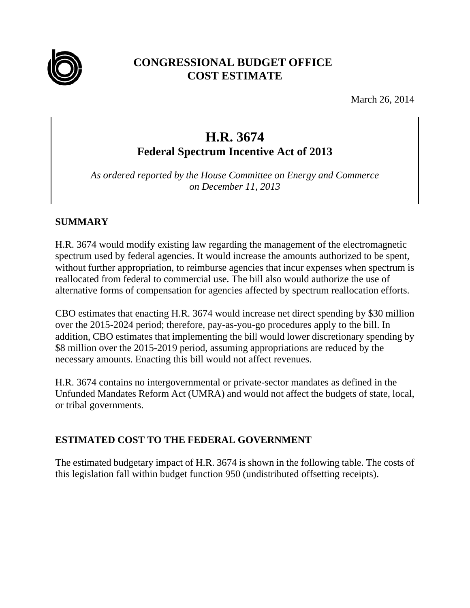

## **CONGRESSIONAL BUDGET OFFICE COST ESTIMATE**

March 26, 2014

# **H.R. 3674 Federal Spectrum Incentive Act of 2013**

*As ordered reported by the House Committee on Energy and Commerce on December 11, 2013* 

## **SUMMARY**

H.R. 3674 would modify existing law regarding the management of the electromagnetic spectrum used by federal agencies. It would increase the amounts authorized to be spent, without further appropriation, to reimburse agencies that incur expenses when spectrum is reallocated from federal to commercial use. The bill also would authorize the use of alternative forms of compensation for agencies affected by spectrum reallocation efforts.

CBO estimates that enacting H.R. 3674 would increase net direct spending by \$30 million over the 2015-2024 period; therefore, pay-as-you-go procedures apply to the bill. In addition, CBO estimates that implementing the bill would lower discretionary spending by \$8 million over the 2015-2019 period, assuming appropriations are reduced by the necessary amounts. Enacting this bill would not affect revenues.

H.R. 3674 contains no intergovernmental or private-sector mandates as defined in the Unfunded Mandates Reform Act (UMRA) and would not affect the budgets of state, local, or tribal governments.

## **ESTIMATED COST TO THE FEDERAL GOVERNMENT**

The estimated budgetary impact of H.R. 3674 is shown in the following table. The costs of this legislation fall within budget function 950 (undistributed offsetting receipts).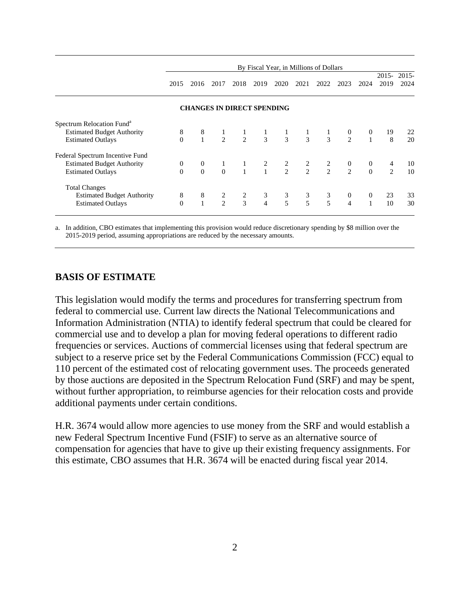|                                       | By Fiscal Year, in Millions of Dollars |                                   |                |                                       |                |                                                                                         |                |                |                          |                |                |                  |
|---------------------------------------|----------------------------------------|-----------------------------------|----------------|---------------------------------------|----------------|-----------------------------------------------------------------------------------------|----------------|----------------|--------------------------|----------------|----------------|------------------|
|                                       | 2015                                   | 2016                              | 2017           | 2018                                  | 2019           | 2020                                                                                    | 2021           | 2022           | 2023                     | 2024           | 2015-<br>2019  | $2015 -$<br>2024 |
|                                       |                                        | <b>CHANGES IN DIRECT SPENDING</b> |                |                                       |                |                                                                                         |                |                |                          |                |                |                  |
| Spectrum Relocation Fund <sup>a</sup> |                                        |                                   |                |                                       |                |                                                                                         |                |                |                          |                |                |                  |
| <b>Estimated Budget Authority</b>     | 8                                      | 8                                 |                | $\mathbf{1}$                          | $\mathbf{1}$   |                                                                                         | $\mathbf{1}$   | $\mathbf{1}$   | $\boldsymbol{0}$         | $\mathbf{0}$   | 19             | 22               |
| <b>Estimated Outlays</b>              | $\Omega$                               |                                   | $\overline{1}$ | $2\qquad 2$                           | $\overline{3}$ | $\frac{1}{3}$                                                                           | $\overline{3}$ | $\overline{3}$ | 2                        | $\mathbf{1}$   | 8              | 20               |
| Federal Spectrum Incentive Fund       |                                        |                                   |                |                                       |                |                                                                                         |                |                |                          |                |                |                  |
| <b>Estimated Budget Authority</b>     | $\theta$                               | $\overline{0}$                    | $\mathbf{1}$   |                                       |                |                                                                                         |                |                |                          | $\bf{0}$       | 4              | 10               |
| <b>Estimated Outlays</b>              | $\Omega$                               | $\Omega$                          | $\theta$       | $\begin{array}{c} 1 \\ 1 \end{array}$ |                | $\begin{array}{ccccccccc} &2 & &2 & &2 & &2 & &0\ &&1 & &2 & &2 & &2 & &2\ \end{array}$ |                |                |                          | $\Omega$       | $\mathfrak{D}$ | 10               |
| <b>Total Changes</b>                  |                                        |                                   |                |                                       |                |                                                                                         |                |                |                          |                |                |                  |
| <b>Estimated Budget Authority</b>     | 8                                      | 8                                 | $\overline{c}$ |                                       | 3              |                                                                                         | $\mathfrak{Z}$ | 3              | $\overline{0}$           | $\overline{0}$ | 23             | 33               |
| <b>Estimated Outlays</b>              | $\theta$                               | $\mathbf{1}$                      | $\mathcal{L}$  | $\frac{2}{3}$                         | $\overline{4}$ | $\frac{3}{5}$                                                                           | $\overline{5}$ | 5              | $\overline{\mathcal{L}}$ | $\mathbf{1}$   | 10             | 30               |

a. In addition, CBO estimates that implementing this provision would reduce discretionary spending by \$8 million over the 2015-2019 period, assuming appropriations are reduced by the necessary amounts.

#### **BASIS OF ESTIMATE**

This legislation would modify the terms and procedures for transferring spectrum from federal to commercial use. Current law directs the National Telecommunications and Information Administration (NTIA) to identify federal spectrum that could be cleared for commercial use and to develop a plan for moving federal operations to different radio frequencies or services. Auctions of commercial licenses using that federal spectrum are subject to a reserve price set by the Federal Communications Commission (FCC) equal to 110 percent of the estimated cost of relocating government uses. The proceeds generated by those auctions are deposited in the Spectrum Relocation Fund (SRF) and may be spent, without further appropriation, to reimburse agencies for their relocation costs and provide additional payments under certain conditions.

H.R. 3674 would allow more agencies to use money from the SRF and would establish a new Federal Spectrum Incentive Fund (FSIF) to serve as an alternative source of compensation for agencies that have to give up their existing frequency assignments. For this estimate, CBO assumes that H.R. 3674 will be enacted during fiscal year 2014.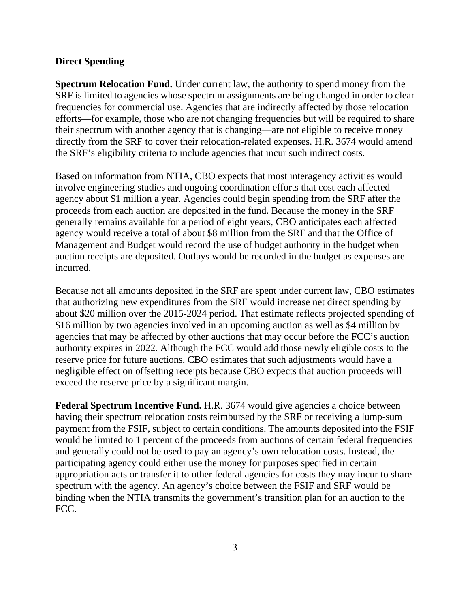#### **Direct Spending**

**Spectrum Relocation Fund.** Under current law, the authority to spend money from the SRF is limited to agencies whose spectrum assignments are being changed in order to clear frequencies for commercial use. Agencies that are indirectly affected by those relocation efforts—for example, those who are not changing frequencies but will be required to share their spectrum with another agency that is changing—are not eligible to receive money directly from the SRF to cover their relocation-related expenses. H.R. 3674 would amend the SRF's eligibility criteria to include agencies that incur such indirect costs.

Based on information from NTIA, CBO expects that most interagency activities would involve engineering studies and ongoing coordination efforts that cost each affected agency about \$1 million a year. Agencies could begin spending from the SRF after the proceeds from each auction are deposited in the fund. Because the money in the SRF generally remains available for a period of eight years, CBO anticipates each affected agency would receive a total of about \$8 million from the SRF and that the Office of Management and Budget would record the use of budget authority in the budget when auction receipts are deposited. Outlays would be recorded in the budget as expenses are incurred.

Because not all amounts deposited in the SRF are spent under current law, CBO estimates that authorizing new expenditures from the SRF would increase net direct spending by about \$20 million over the 2015-2024 period. That estimate reflects projected spending of \$16 million by two agencies involved in an upcoming auction as well as \$4 million by agencies that may be affected by other auctions that may occur before the FCC's auction authority expires in 2022. Although the FCC would add those newly eligible costs to the reserve price for future auctions, CBO estimates that such adjustments would have a negligible effect on offsetting receipts because CBO expects that auction proceeds will exceed the reserve price by a significant margin.

**Federal Spectrum Incentive Fund.** H.R. 3674 would give agencies a choice between having their spectrum relocation costs reimbursed by the SRF or receiving a lump-sum payment from the FSIF, subject to certain conditions. The amounts deposited into the FSIF would be limited to 1 percent of the proceeds from auctions of certain federal frequencies and generally could not be used to pay an agency's own relocation costs. Instead, the participating agency could either use the money for purposes specified in certain appropriation acts or transfer it to other federal agencies for costs they may incur to share spectrum with the agency. An agency's choice between the FSIF and SRF would be binding when the NTIA transmits the government's transition plan for an auction to the FCC.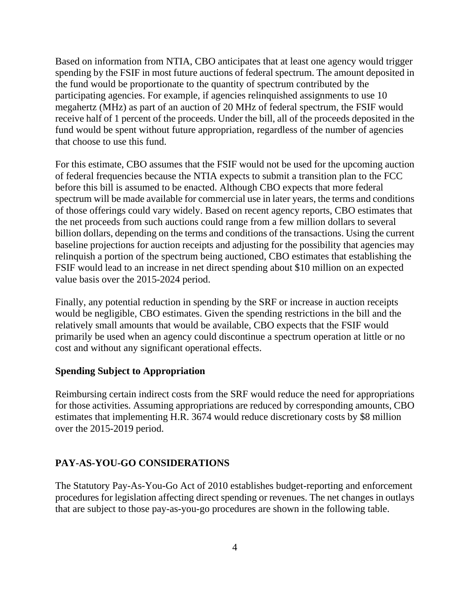Based on information from NTIA, CBO anticipates that at least one agency would trigger spending by the FSIF in most future auctions of federal spectrum. The amount deposited in the fund would be proportionate to the quantity of spectrum contributed by the participating agencies. For example, if agencies relinquished assignments to use 10 megahertz (MHz) as part of an auction of 20 MHz of federal spectrum, the FSIF would receive half of 1 percent of the proceeds. Under the bill, all of the proceeds deposited in the fund would be spent without future appropriation, regardless of the number of agencies that choose to use this fund.

For this estimate, CBO assumes that the FSIF would not be used for the upcoming auction of federal frequencies because the NTIA expects to submit a transition plan to the FCC before this bill is assumed to be enacted. Although CBO expects that more federal spectrum will be made available for commercial use in later years, the terms and conditions of those offerings could vary widely. Based on recent agency reports, CBO estimates that the net proceeds from such auctions could range from a few million dollars to several billion dollars, depending on the terms and conditions of the transactions. Using the current baseline projections for auction receipts and adjusting for the possibility that agencies may relinquish a portion of the spectrum being auctioned, CBO estimates that establishing the FSIF would lead to an increase in net direct spending about \$10 million on an expected value basis over the 2015-2024 period.

Finally, any potential reduction in spending by the SRF or increase in auction receipts would be negligible, CBO estimates. Given the spending restrictions in the bill and the relatively small amounts that would be available, CBO expects that the FSIF would primarily be used when an agency could discontinue a spectrum operation at little or no cost and without any significant operational effects.

#### **Spending Subject to Appropriation**

Reimbursing certain indirect costs from the SRF would reduce the need for appropriations for those activities. Assuming appropriations are reduced by corresponding amounts, CBO estimates that implementing H.R. 3674 would reduce discretionary costs by \$8 million over the 2015-2019 period.

#### **PAY-AS-YOU-GO CONSIDERATIONS**

The Statutory Pay-As-You-Go Act of 2010 establishes budget-reporting and enforcement procedures for legislation affecting direct spending or revenues. The net changes in outlays that are subject to those pay-as-you-go procedures are shown in the following table.